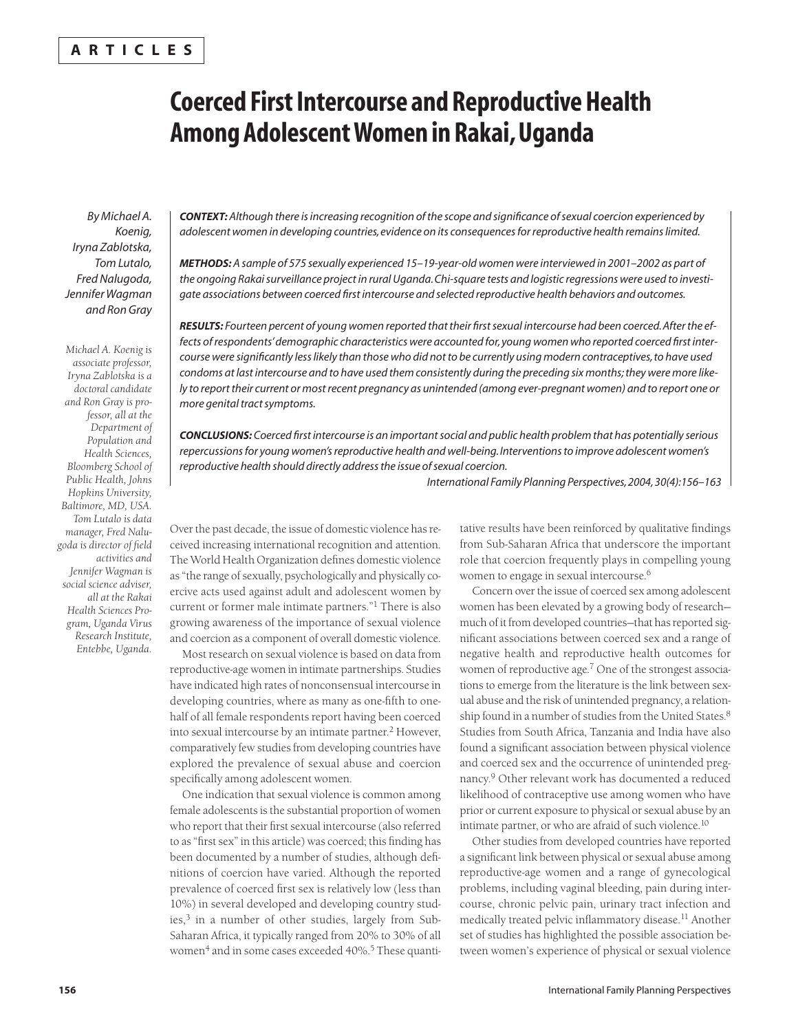# **ARTICLES**

# **Coerced First Intercourse and Reproductive Health Among Adolescent Women in Rakai, Uganda**

*By Michael A. Koenig, Iryna Zablotska, Tom Lutalo, Fred Nalugoda, Jennifer Wagman and Ron Gray*

*Michael A. Koenig is associate professor, Iryna Zablotska is a doctoral candidate and Ron Gray is professor, all at the Department of Population and Health Sciences, Bloomberg School of Public Health, Johns Hopkins University, Baltimore, MD, USA. Tom Lutalo is data manager, Fred Nalugoda is director of field activities and Jennifer Wagman is social science adviser, all at the Rakai Health Sciences Program, Uganda Virus Research Institute, Entebbe, Uganda.*

*CONTEXT: Although there is increasing recognition of the scope and significance of sexual coercion experienced by adolescent women in developing countries, evidence on its consequences for reproductive health remains limited.*

*METHODS: A sample of 575 sexually experienced 15–19-year-old women were interviewed in 2001–2002 as part of the ongoing Rakai surveillance project in rural Uganda. Chi-square tests and logistic regressions were used to investigate associations between coerced first intercourse and selected reproductive health behaviors and outcomes.*

*RESULTS: Fourteen percent of young women reported that their first sexual intercourse had been coerced. After the effects of respondents' demographic characteristics were accounted for, young women who reported coerced first intercourse were significantly less likely than those who did not to be currently using modern contraceptives, to have used condoms at last intercourse and to have used them consistently during the preceding six months; they were more likely to report their current or most recent pregnancy as unintended (among ever-pregnant women) and to report one or more genital tract symptoms.*

*CONCLUSIONS: Coerced first intercourse is an important social and public health problem that has potentially serious repercussions for young women's reproductive health and well-being. Interventions to improve adolescent women's reproductive health should directly address the issue of sexual coercion.*

*International Family Planning Perspectives, 2004, 30(4):156–163*

Over the past decade, the issue of domestic violence has received increasing international recognition and attention. The World Health Organization defines domestic violence as "the range of sexually, psychologically and physically coercive acts used against adult and adolescent women by current or former male intimate partners."<sup>1</sup> There is also growing awareness of the importance of sexual violence and coercion as a component of overall domestic violence.

Most research on sexual violence is based on data from reproductive-age women in intimate partnerships. Studies have indicated high rates of nonconsensual intercourse in developing countries, where as many as one-fifth to onehalf of all female respondents report having been coerced into sexual intercourse by an intimate partner.<sup>2</sup> However, comparatively few studies from developing countries have explored the prevalence of sexual abuse and coercion specifically among adolescent women.

One indication that sexual violence is common among female adolescents is the substantial proportion of women who report that their first sexual intercourse (also referred to as "first sex" in this article) was coerced; this finding has been documented by a number of studies, although definitions of coercion have varied. Although the reported prevalence of coerced first sex is relatively low (less than 10%) in several developed and developing country studies,<sup>3</sup> in a number of other studies, largely from Sub-Saharan Africa, it typically ranged from 20% to 30% of all women<sup>4</sup> and in some cases exceeded 40%.<sup>5</sup> These quantitative results have been reinforced by qualitative findings from Sub-Saharan Africa that underscore the important role that coercion frequently plays in compelling young women to engage in sexual intercourse.<sup>6</sup>

Concern over the issue of coerced sex among adolescent women has been elevated by a growing body of research much of it from developed countries—that has reported significant associations between coerced sex and a range of negative health and reproductive health outcomes for women of reproductive age.<sup>7</sup> One of the strongest associations to emerge from the literature is the link between sexual abuse and the risk of unintended pregnancy, a relationship found in a number of studies from the United States.8 Studies from South Africa, Tanzania and India have also found a significant association between physical violence and coerced sex and the occurrence of unintended pregnancy.<sup>9</sup> Other relevant work has documented a reduced likelihood of contraceptive use among women who have prior or current exposure to physical or sexual abuse by an intimate partner, or who are afraid of such violence.<sup>10</sup>

Other studies from developed countries have reported a significant link between physical or sexual abuse among reproductive-age women and a range of gynecological problems, including vaginal bleeding, pain during intercourse, chronic pelvic pain, urinary tract infection and medically treated pelvic inflammatory disease.<sup>11</sup> Another set of studies has highlighted the possible association between women's experience of physical or sexual violence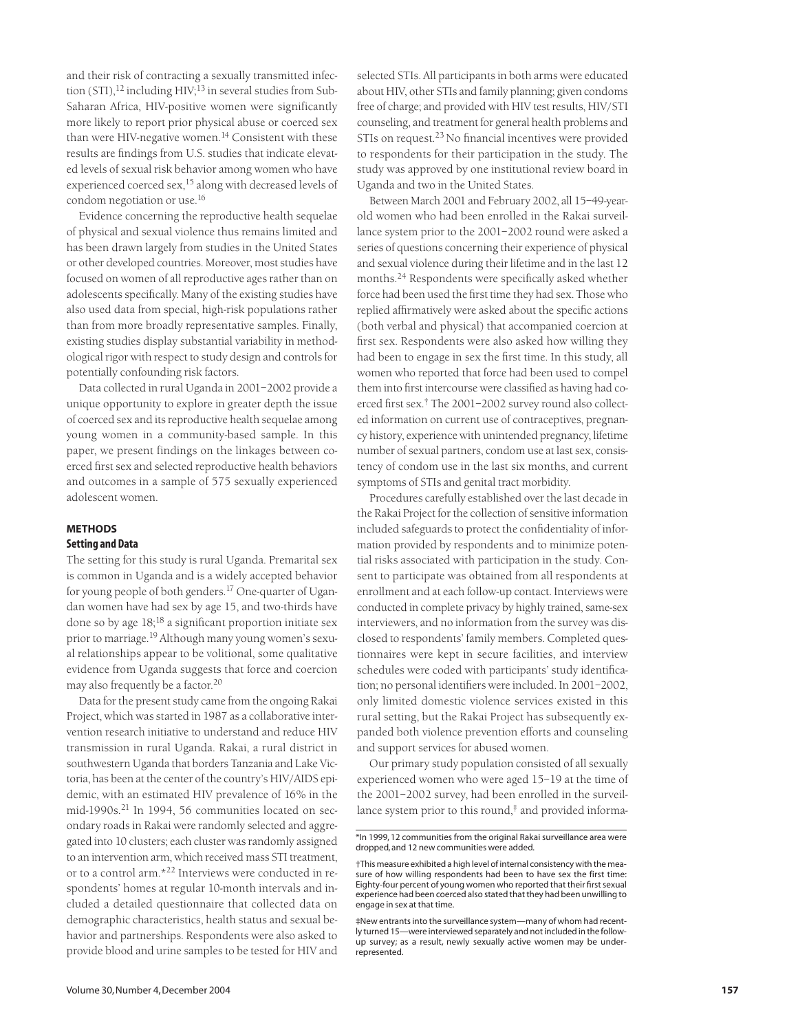and their risk of contracting a sexually transmitted infection (STI), $^{12}$  including HIV; $^{13}$  in several studies from Sub-Saharan Africa, HIV-positive women were significantly more likely to report prior physical abuse or coerced sex than were HIV-negative women. $14$  Consistent with these results are findings from U.S. studies that indicate elevated levels of sexual risk behavior among women who have experienced coerced sex,<sup>15</sup> along with decreased levels of condom negotiation or use.16

Evidence concerning the reproductive health sequelae of physical and sexual violence thus remains limited and has been drawn largely from studies in the United States or other developed countries. Moreover, most studies have focused on women of all reproductive ages rather than on adolescents specifically. Many of the existing studies have also used data from special, high-risk populations rather than from more broadly representative samples. Finally, existing studies display substantial variability in methodological rigor with respect to study design and controls for potentially confounding risk factors.

Data collected in rural Uganda in 2001–2002 provide a unique opportunity to explore in greater depth the issue of coerced sex and its reproductive health sequelae among young women in a community-based sample. In this paper, we present findings on the linkages between coerced first sex and selected reproductive health behaviors and outcomes in a sample of 575 sexually experienced adolescent women.

## **METHODS**

## **Setting and Data**

The setting for this study is rural Uganda. Premarital sex is common in Uganda and is a widely accepted behavior for young people of both genders.17 One-quarter of Ugandan women have had sex by age 15, and two-thirds have done so by age  $18;^{18}$  a significant proportion initiate sex prior to marriage.<sup>19</sup> Although many young women's sexual relationships appear to be volitional, some qualitative evidence from Uganda suggests that force and coercion may also frequently be a factor.<sup>20</sup>

Data for the present study came from the ongoing Rakai Project, which was started in 1987 as a collaborative intervention research initiative to understand and reduce HIV transmission in rural Uganda. Rakai, a rural district in southwestern Uganda that borders Tanzania and Lake Victoria, has been at the center of the country's HIV/AIDS epidemic, with an estimated HIV prevalence of 16% in the mid-1990s.<sup>21</sup> In 1994, 56 communities located on secondary roads in Rakai were randomly selected and aggregated into 10 clusters; each cluster was randomly assigned to an intervention arm, which received mass STI treatment, or to a control arm.\*<sup>22</sup> Interviews were conducted in respondents' homes at regular 10-month intervals and included a detailed questionnaire that collected data on demographic characteristics, health status and sexual behavior and partnerships. Respondents were also asked to provide blood and urine samples to be tested for HIV and

selected STIs. All participants in both arms were educated about HIV, other STIs and family planning; given condoms free of charge; and provided with HIV test results, HIV/STI counseling, and treatment for general health problems and STIs on request.<sup>23</sup> No financial incentives were provided to respondents for their participation in the study. The study was approved by one institutional review board in Uganda and two in the United States.

Between March 2001 and February 2002, all 15–49-yearold women who had been enrolled in the Rakai surveillance system prior to the 2001–2002 round were asked a series of questions concerning their experience of physical and sexual violence during their lifetime and in the last 12 months.<sup>24</sup> Respondents were specifically asked whether force had been used the first time they had sex. Those who replied affirmatively were asked about the specific actions (both verbal and physical) that accompanied coercion at first sex. Respondents were also asked how willing they had been to engage in sex the first time. In this study, all women who reported that force had been used to compel them into first intercourse were classified as having had coerced first sex.† The 2001–2002 survey round also collected information on current use of contraceptives, pregnancy history, experience with unintended pregnancy, lifetime number of sexual partners, condom use at last sex, consistency of condom use in the last six months, and current symptoms of STIs and genital tract morbidity.

Procedures carefully established over the last decade in the Rakai Project for the collection of sensitive information included safeguards to protect the confidentiality of information provided by respondents and to minimize potential risks associated with participation in the study. Consent to participate was obtained from all respondents at enrollment and at each follow-up contact. Interviews were conducted in complete privacy by highly trained, same-sex interviewers, and no information from the survey was disclosed to respondents' family members. Completed questionnaires were kept in secure facilities, and interview schedules were coded with participants' study identification; no personal identifiers were included. In 2001–2002, only limited domestic violence services existed in this rural setting, but the Rakai Project has subsequently expanded both violence prevention efforts and counseling and support services for abused women.

Our primary study population consisted of all sexually experienced women who were aged 15–19 at the time of the 2001–2002 survey, had been enrolled in the surveillance system prior to this round,<sup>†</sup> and provided informa-

<sup>\*</sup>In 1999, 12 communities from the original Rakai surveillance area were dropped, and 12 new communities were added.

<sup>†</sup>This measure exhibited a high level of internal consistency with the measure of how willing respondents had been to have sex the first time: Eighty-four percent of young women who reported that their first sexual experience had been coerced also stated that they had been unwilling to engage in sex at that time.

<sup>‡</sup>New entrants into the surveillance system—many of whom had recently turned 15—were interviewed separately and not included in the followup survey; as a result, newly sexually active women may be underrepresented.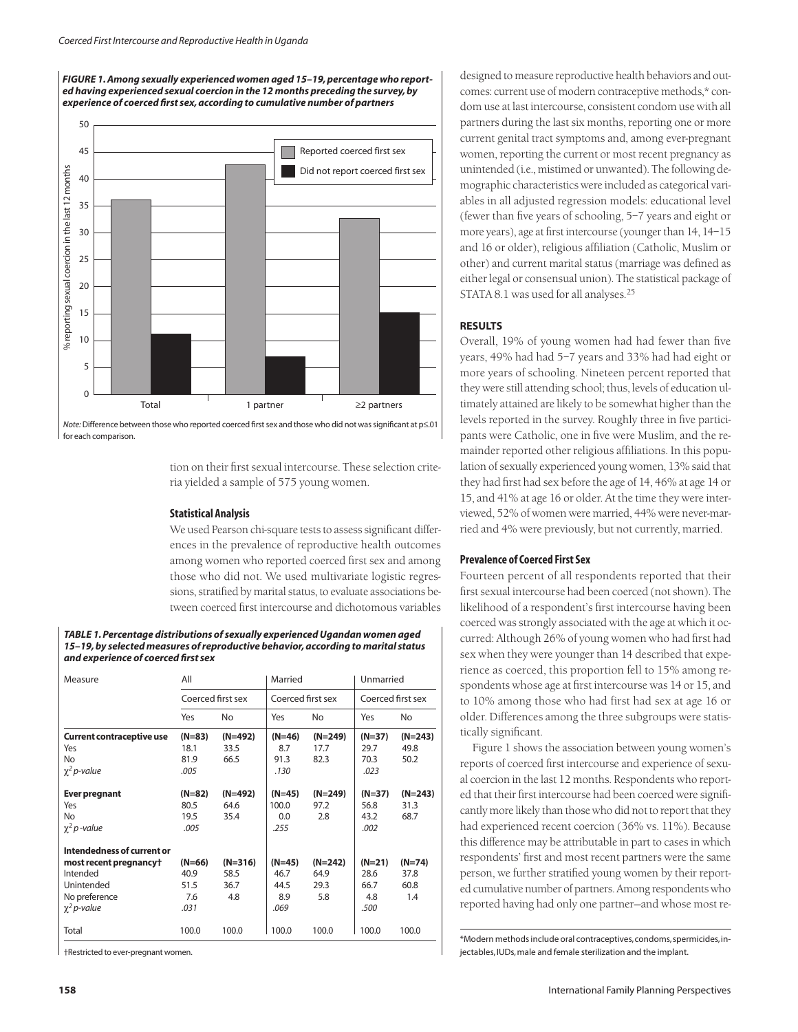*FIGURE 1. Among sexually experienced women aged 15–19, percentage who reported having experienced sexual coercion in the 12 months preceding the survey, by experience of coerced first sex, according to cumulative number of partners*



*Note:* Difference between those who reported coerced first sex and those who did not was significant at p≤.01 for each comparison.

> tion on their first sexual intercourse. These selection criteria yielded a sample of 575 young women.

#### **Statistical Analysis**

We used Pearson chi-square tests to assess significant differences in the prevalence of reproductive health outcomes among women who reported coerced first sex and among those who did not. We used multivariate logistic regressions, stratified by marital status, to evaluate associations between coerced first intercourse and dichotomous variables

*TABLE 1. Percentage distributions of sexually experienced Ugandan women aged 15–19, by selected measures of reproductive behavior, according to marital status and experience of coerced first sex*

| Measure                          | All<br>Coerced first sex |           | Married           |           | Unmarried         |           |
|----------------------------------|--------------------------|-----------|-------------------|-----------|-------------------|-----------|
|                                  |                          |           | Coerced first sex |           | Coerced first sex |           |
|                                  | Yes                      | No        | Yes               | No        | Yes               | No.       |
| <b>Current contraceptive use</b> | $(N=83)$                 | (N=492)   | $(N=46)$          | (N=249)   | $(N=37)$          | $(N=243)$ |
| Yes                              | 18.1                     | 33.5      | 8.7               | 17.7      | 29.7              | 49.8      |
| No                               | 81.9                     | 66.5      | 91.3              | 82.3      | 70.3              | 50.2      |
| $\chi^2$ p-value                 | .005                     |           | .130              |           | .023              |           |
| <b>Ever pregnant</b>             | $(N=82)$                 | $(N=492)$ | $(N=45)$          | $(N=249)$ | $(N=37)$          | $(N=243)$ |
| Yes                              | 80.5                     | 64.6      | 100.0             | 97.2      | 56.8              | 31.3      |
| <b>No</b>                        | 19.5                     | 35.4      | 0.0               | 2.8       | 43.2              | 68.7      |
| $\chi^2 p$ -value                | .005                     |           | .255              |           | .002              |           |
| Intendedness of current or       |                          |           |                   |           |                   |           |
| most recent pregnancy†           | $(N=66)$                 | $(N=316)$ | $(N=45)$          | $(N=242)$ | $(N=21)$          | $(N=74)$  |
| Intended                         | 40.9                     | 58.5      | 46.7              | 64.9      | 28.6              | 37.8      |
| Unintended                       | 51.5                     | 36.7      | 44.5              | 29.3      | 66.7              | 60.8      |
| No preference                    | 7.6                      | 4.8       | 8.9               | 5.8       | 4.8               | 1.4       |
| $\chi^2$ p-value                 | .031                     |           | .069              |           | .500              |           |
| Total                            | 100.0                    | 100.0     | 100.0             | 100.0     | 100.0             | 100.0     |

†Restricted to ever-pregnant women.

designed to measure reproductive health behaviors and outcomes: current use of modern contraceptive methods,\* condom use at last intercourse, consistent condom use with all partners during the last six months, reporting one or more current genital tract symptoms and, among ever-pregnant women, reporting the current or most recent pregnancy as unintended (i.e., mistimed or unwanted). The following demographic characteristics were included as categorical variables in all adjusted regression models: educational level (fewer than five years of schooling, 5–7 years and eight or more years), age at first intercourse (younger than 14, 14–15 and 16 or older), religious affiliation (Catholic, Muslim or other) and current marital status (marriage was defined as either legal or consensual union). The statistical package of STATA 8.1 was used for all analyses.25

## **RESULTS**

Overall, 19% of young women had had fewer than five years, 49% had had 5–7 years and 33% had had eight or more years of schooling. Nineteen percent reported that they were still attending school; thus, levels of education ultimately attained are likely to be somewhat higher than the levels reported in the survey. Roughly three in five participants were Catholic, one in five were Muslim, and the remainder reported other religious affiliations. In this population of sexually experienced young women, 13% said that they had first had sex before the age of 14, 46% at age 14 or 15, and 41% at age 16 or older. At the time they were interviewed, 52% of women were married, 44% were never-married and 4% were previously, but not currently, married.

## **Prevalence of Coerced First Sex**

Fourteen percent of all respondents reported that their first sexual intercourse had been coerced (not shown). The likelihood of a respondent's first intercourse having been coerced was strongly associated with the age at which it occurred: Although 26% of young women who had first had sex when they were younger than 14 described that experience as coerced, this proportion fell to 15% among respondents whose age at first intercourse was 14 or 15, and to 10% among those who had first had sex at age 16 or older. Differences among the three subgroups were statistically significant.

Figure 1 shows the association between young women's reports of coerced first intercourse and experience of sexual coercion in the last 12 months. Respondents who reported that their first intercourse had been coerced were significantly more likely than those who did not to report that they had experienced recent coercion (36% vs. 11%). Because this difference may be attributable in part to cases in which respondents' first and most recent partners were the same person, we further stratified young women by their reported cumulative number of partners. Among respondents who reported having had only one partner—and whose most re-

\*Modern methods include oral contraceptives,condoms,spermicides,injectables, IUDs, male and female sterilization and the implant.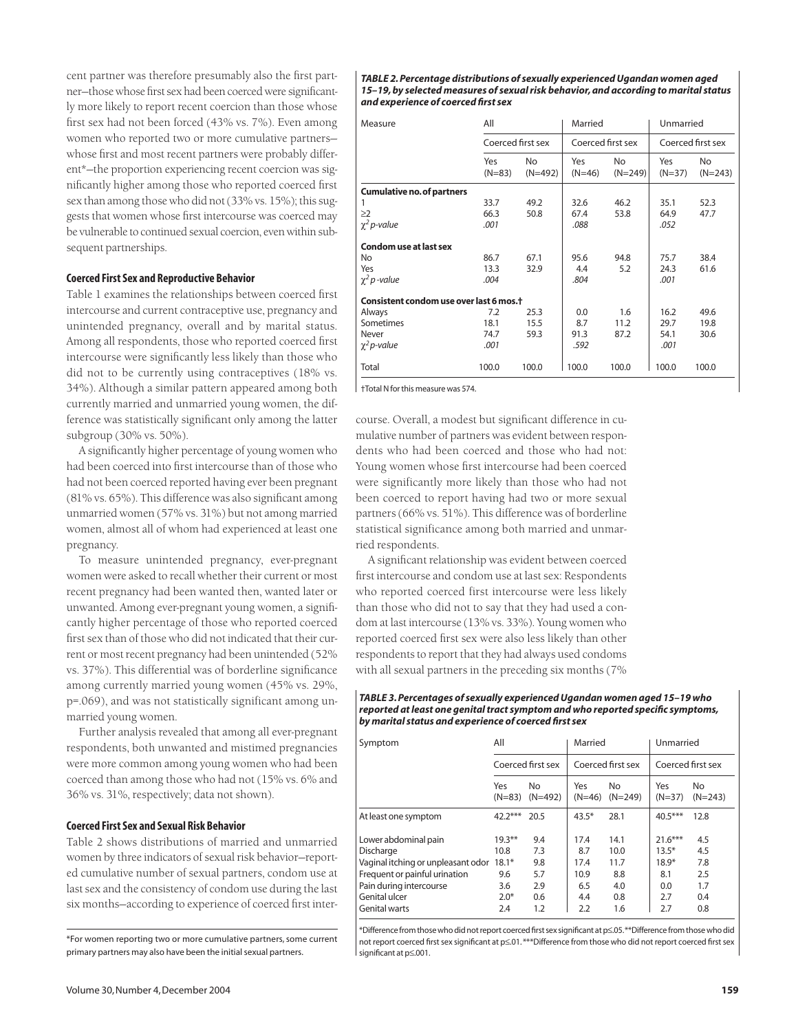cent partner was therefore presumably also the first partner—those whose first sex had been coerced were significantly more likely to report recent coercion than those whose first sex had not been forced (43% vs. 7%). Even among women who reported two or more cumulative partners whose first and most recent partners were probably different\*—the proportion experiencing recent coercion was significantly higher among those who reported coerced first sex than among those who did not (33% vs. 15%); this suggests that women whose first intercourse was coerced may be vulnerable to continued sexual coercion, even within subsequent partnerships.

### **Coerced First Sex and Reproductive Behavior**

Table 1 examines the relationships between coerced first intercourse and current contraceptive use, pregnancy and unintended pregnancy, overall and by marital status. Among all respondents, those who reported coerced first intercourse were significantly less likely than those who did not to be currently using contraceptives (18% vs. 34%). Although a similar pattern appeared among both currently married and unmarried young women, the difference was statistically significant only among the latter subgroup (30% vs. 50%).

A significantly higher percentage of young women who had been coerced into first intercourse than of those who had not been coerced reported having ever been pregnant (81% vs. 65%). This difference was also significant among unmarried women (57% vs. 31%) but not among married women, almost all of whom had experienced at least one pregnancy.

To measure unintended pregnancy, ever-pregnant women were asked to recall whether their current or most recent pregnancy had been wanted then, wanted later or unwanted. Among ever-pregnant young women, a significantly higher percentage of those who reported coerced first sex than of those who did not indicated that their current or most recent pregnancy had been unintended (52% vs. 37%). This differential was of borderline significance among currently married young women (45% vs. 29%, p=.069), and was not statistically significant among unmarried young women.

Further analysis revealed that among all ever-pregnant respondents, both unwanted and mistimed pregnancies were more common among young women who had been coerced than among those who had not (15% vs. 6% and 36% vs. 31%, respectively; data not shown).

## **Coerced First Sex and Sexual Risk Behavior**

Table 2 shows distributions of married and unmarried women by three indicators of sexual risk behavior—reported cumulative number of sexual partners, condom use at last sex and the consistency of condom use during the last six months—according to experience of coerced first inter-

\*For women reporting two or more cumulative partners, some current primary partners may also have been the initial sexual partners.

*TABLE 2. Percentage distributions of sexually experienced Ugandan women aged 15–19, by selected measures of sexual risk behavior, and according to marital status and experience of coerced first sex*

| Measure                                             | All<br>Coerced first sex |                 | Married<br>Coerced first sex |                  | Unmarried<br>Coerced first sex |                  |  |  |  |
|-----------------------------------------------------|--------------------------|-----------------|------------------------------|------------------|--------------------------------|------------------|--|--|--|
|                                                     |                          |                 |                              |                  |                                |                  |  |  |  |
|                                                     | Yes<br>$(N=83)$          | No<br>$(N=492)$ | Yes<br>$(N=46)$              | No.<br>$(N=249)$ | Yes<br>$(N=37)$                | No.<br>$(N=243)$ |  |  |  |
| <b>Cumulative no. of partners</b>                   |                          |                 |                              |                  |                                |                  |  |  |  |
|                                                     | 33.7                     | 49.2            | 32.6                         | 46.2             | 35.1                           | 52.3             |  |  |  |
| $\geq$ 2                                            | 66.3                     | 50.8            | 67.4                         | 53.8             | 64.9                           | 47.7             |  |  |  |
| $\chi^2$ p-value                                    | .001                     |                 | .088                         |                  | .052                           |                  |  |  |  |
| <b>Condom use at last sex</b>                       |                          |                 |                              |                  |                                |                  |  |  |  |
| No                                                  | 86.7                     | 67.1            | 95.6                         | 94.8             | 75.7                           | 38.4             |  |  |  |
| Yes                                                 | 13.3                     | 32.9            | 4.4                          | 5.2              | 24.3                           | 61.6             |  |  |  |
| $\chi^2 p$ -value                                   | .004                     |                 | .804                         |                  | .001                           |                  |  |  |  |
| Consistent condom use over last 6 mos. <sup>+</sup> |                          |                 |                              |                  |                                |                  |  |  |  |
| Always                                              | 7.2                      | 25.3            | 0.0                          | 1.6              | 16.2                           | 49.6             |  |  |  |
| Sometimes                                           | 18.1                     | 15.5            | 8.7                          | 11.2             | 29.7                           | 19.8             |  |  |  |
| Never                                               | 74.7                     | 59.3            | 91.3                         | 87.2             | 54.1                           | 30.6             |  |  |  |
| $\chi^2$ p-value                                    | .001                     |                 | .592                         |                  | .001                           |                  |  |  |  |
| Total                                               | 100.0                    | 100.0           | 100.0                        | 100.0            | 100.0                          | 100.0            |  |  |  |

†Total N for this measure was 574.

course. Overall, a modest but significant difference in cumulative number of partners was evident between respondents who had been coerced and those who had not: Young women whose first intercourse had been coerced were significantly more likely than those who had not been coerced to report having had two or more sexual partners (66% vs. 51%). This difference was of borderline statistical significance among both married and unmarried respondents.

A significant relationship was evident between coerced first intercourse and condom use at last sex: Respondents who reported coerced first intercourse were less likely than those who did not to say that they had used a condom at last intercourse (13% vs. 33%). Young women who reported coerced first sex were also less likely than other respondents to report that they had always used condoms with all sexual partners in the preceding six months (7%

#### *TABLE 3. Percentages of sexually experienced Ugandan women aged 15–19 who reported at least one genital tract symptom and who reported specific symptoms, by marital status and experience of coerced first sex*

| Symptom                            | All               |                 | Married           |                 | Unmarried         |                 |
|------------------------------------|-------------------|-----------------|-------------------|-----------------|-------------------|-----------------|
|                                    | Coerced first sex |                 | Coerced first sex |                 | Coerced first sex |                 |
|                                    | Yes<br>$(N=83)$   | No<br>$(N=492)$ | Yes<br>$(N=46)$   | No<br>$(N=249)$ | Yes<br>$(N=37)$   | No<br>$(N=243)$ |
| At least one symptom               | $42.2***$         | 20.5            | $43.5*$           | 28.1            | $40.5***$         | 12.8            |
| Lower abdominal pain               | $19.3***$         | 9.4             | 17.4              | 14.1            | $21.6***$         | 4.5             |
| Discharge                          | 10.8              | 7.3             | 8.7               | 10.0            | $13.5*$           | 4.5             |
| Vaginal itching or unpleasant odor | $18.1*$           | 9.8             | 17.4              | 11.7            | $18.9*$           | 7.8             |
| Frequent or painful urination      | 9.6               | 5.7             | 10.9              | 8.8             | 8.1               | 2.5             |
| Pain during intercourse            | 3.6               | 2.9             | 6.5               | 4.0             | 0.0               | 1.7             |
| Genital ulcer                      | $2.0*$            | 0.6             | 4.4               | 0.8             | 2.7               | 0.4             |
| Genital warts                      | 2.4               | 1.2             | 2.2               | 1.6             | 2.7               | 0.8             |

\*Difference from those who did not report coerced first sex significant at p≤.05.\*\*Difference from those who did not report coerced first sex significant at p≤.01. \*\*\*Difference from those who did not report coerced first sex significant at p≤.001.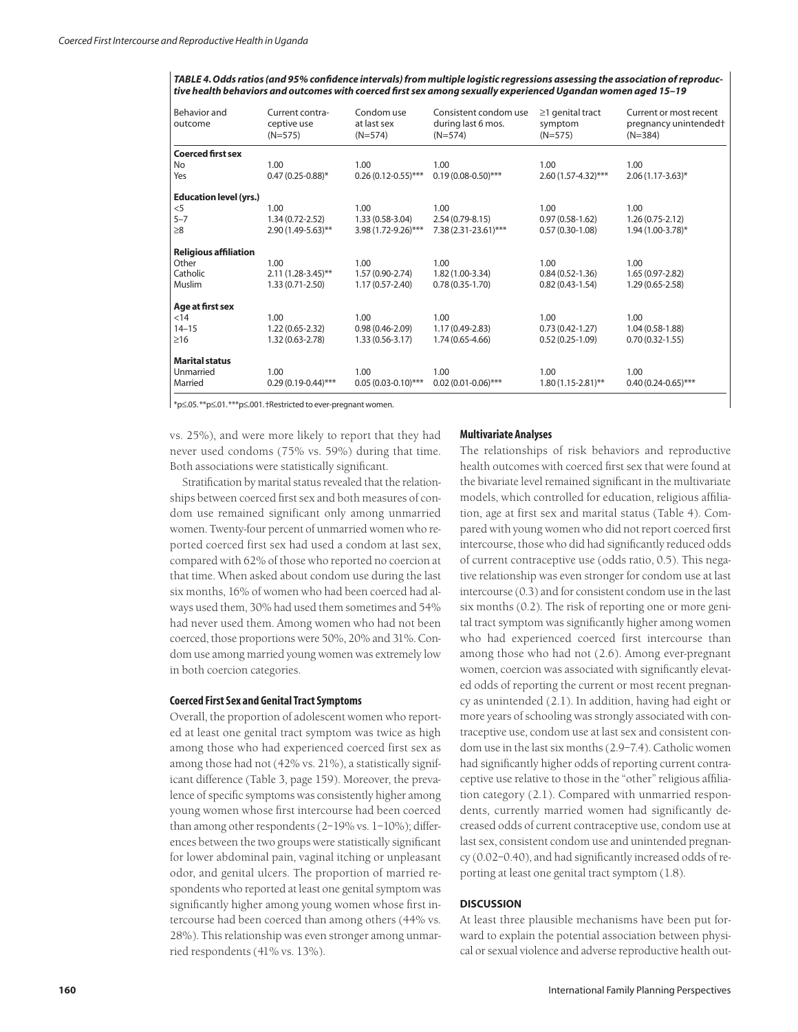*TABLE 4. Odds ratios (and 95% confidence intervals) from multiple logistic regressions assessing the association of reproductive health behaviors and outcomes with coerced first sex among sexually experienced Ugandan women aged 15–19*

| Behavior and<br>outcome                                       | Current contra-<br>ceptive use<br>$(N=575)$ | Condom use<br>at last sex<br>$(N=574)$ | Consistent condom use<br>during last 6 mos.<br>$(N=574)$ | $\geq$ 1 genital tract<br>symptom<br>$(N=575)$ | Current or most recent<br>pregnancy unintended <sup>+</sup><br>$(N=384)$ |  |
|---------------------------------------------------------------|---------------------------------------------|----------------------------------------|----------------------------------------------------------|------------------------------------------------|--------------------------------------------------------------------------|--|
| <b>Coerced first sex</b>                                      |                                             |                                        |                                                          |                                                |                                                                          |  |
| No                                                            | 1.00                                        | 1.00                                   | 1.00                                                     | 1.00                                           | 1.00                                                                     |  |
| Yes                                                           | $0.47(0.25-0.88)$ *                         | $0.26(0.12-0.55)$ ***                  | $0.19(0.08-0.50)$ ***                                    | 2.60 (1.57-4.32)***                            | $2.06(1.17-3.63)^{*}$                                                    |  |
| <b>Education level (yrs.)</b>                                 |                                             |                                        |                                                          |                                                |                                                                          |  |
| $<$ 5                                                         | 1.00                                        | 1.00                                   | 1.00                                                     | 1.00                                           | 1.00                                                                     |  |
| $5 - 7$                                                       | $1.34(0.72 - 2.52)$                         | $1.33(0.58-3.04)$                      | $2.54(0.79-8.15)$                                        | $0.97(0.58-1.62)$                              | $1.26(0.75-2.12)$                                                        |  |
| $\geq 8$                                                      | 2.90 (1.49-5.63)**                          | 3.98 (1.72-9.26)***                    | 7.38 (2.31-23.61)***                                     | $0.57(0.30-1.08)$                              | 1.94 (1.00-3.78)*                                                        |  |
| <b>Religious affiliation</b>                                  |                                             |                                        |                                                          |                                                |                                                                          |  |
| Other                                                         | 1.00                                        | 1.00                                   | 1.00                                                     | 1.00                                           | 1.00                                                                     |  |
| Catholic                                                      | $2.11(1.28-3.45)$ **                        | 1.57 (0.90-2.74)                       | 1.82 (1.00-3.34)                                         | $0.84(0.52 - 1.36)$                            | 1.65 (0.97-2.82)                                                         |  |
| Muslim                                                        | $1.33(0.71 - 2.50)$                         | $1.17(0.57 - 2.40)$                    | $0.78(0.35-1.70)$                                        | $0.82(0.43 - 1.54)$                            | $1.29(0.65 - 2.58)$                                                      |  |
| Age at first sex                                              |                                             |                                        |                                                          |                                                |                                                                          |  |
| < 14                                                          | 1.00                                        | 1.00                                   | 1.00                                                     | 1.00                                           | 1.00                                                                     |  |
| $14 - 15$                                                     | $1.22(0.65 - 2.32)$                         | $0.98(0.46 - 2.09)$                    | 1.17 (0.49-2.83)                                         | $0.73(0.42 - 1.27)$                            | $1.04(0.58-1.88)$                                                        |  |
| $\geq$ 16                                                     | 1.32 (0.63-2.78)                            | $1.33(0.56-3.17)$                      | 1.74 (0.65-4.66)                                         | $0.52(0.25-1.09)$                              | $0.70(0.32 - 1.55)$                                                      |  |
| <b>Marital status</b>                                         |                                             |                                        |                                                          |                                                |                                                                          |  |
| Unmarried                                                     | 1.00                                        | 1.00                                   | 1.00                                                     | 1.00                                           | 1.00                                                                     |  |
| Married                                                       | $0.29(0.19 - 0.44)$ ***                     | $0.05(0.03-0.10)$ ***                  | $0.02(0.01-0.06)$ ***                                    | $1.80(1.15-2.81)$ **                           | $0.40(0.24 - 0.65)$ ***                                                  |  |
| *p≤.05.**p≤.01.***p≤.001. †Restricted to ever-pregnant women. |                                             |                                        |                                                          |                                                |                                                                          |  |

\*p≤.05.\*\*p≤.01.\*\*\*p≤.001.†Restricted to ever-pregnant women.

vs. 25%), and were more likely to report that they had never used condoms (75% vs. 59%) during that time. Both associations were statistically significant.

## Stratification by marital status revealed that the relationships between coerced first sex and both measures of condom use remained significant only among unmarried women. Twenty-four percent of unmarried women who reported coerced first sex had used a condom at last sex, compared with 62% of those who reported no coercion at that time. When asked about condom use during the last six months, 16% of women who had been coerced had always used them, 30% had used them sometimes and 54% had never used them. Among women who had not been coerced, those proportions were 50%, 20% and 31%. Condom use among married young women was extremely low in both coercion categories.

#### **Coerced First Sex and Genital Tract Symptoms**

Overall, the proportion of adolescent women who reported at least one genital tract symptom was twice as high among those who had experienced coerced first sex as among those had not (42% vs. 21%), a statistically significant difference (Table 3, page 159). Moreover, the prevalence of specific symptoms was consistently higher among young women whose first intercourse had been coerced than among other respondents (2–19% vs. 1–10%); differences between the two groups were statistically significant for lower abdominal pain, vaginal itching or unpleasant odor, and genital ulcers. The proportion of married respondents who reported at least one genital symptom was significantly higher among young women whose first intercourse had been coerced than among others (44% vs. 28%). This relationship was even stronger among unmarried respondents (41% vs. 13%).

#### **Multivariate Analyses**

The relationships of risk behaviors and reproductive health outcomes with coerced first sex that were found at the bivariate level remained significant in the multivariate models, which controlled for education, religious affiliation, age at first sex and marital status (Table 4). Compared with young women who did not report coerced first intercourse, those who did had significantly reduced odds of current contraceptive use (odds ratio, 0.5). This negative relationship was even stronger for condom use at last intercourse (0.3) and for consistent condom use in the last six months (0.2). The risk of reporting one or more genital tract symptom was significantly higher among women who had experienced coerced first intercourse than among those who had not (2.6). Among ever-pregnant women, coercion was associated with significantly elevated odds of reporting the current or most recent pregnancy as unintended (2.1). In addition, having had eight or more years of schooling was strongly associated with contraceptive use, condom use at last sex and consistent condom use in the last six months (2.9–7.4). Catholic women had significantly higher odds of reporting current contraceptive use relative to those in the "other" religious affiliation category (2.1). Compared with unmarried respondents, currently married women had significantly decreased odds of current contraceptive use, condom use at last sex, consistent condom use and unintended pregnancy (0.02–0.40), and had significantly increased odds of reporting at least one genital tract symptom (1.8).

## **DISCUSSION**

At least three plausible mechanisms have been put forward to explain the potential association between physical or sexual violence and adverse reproductive health out-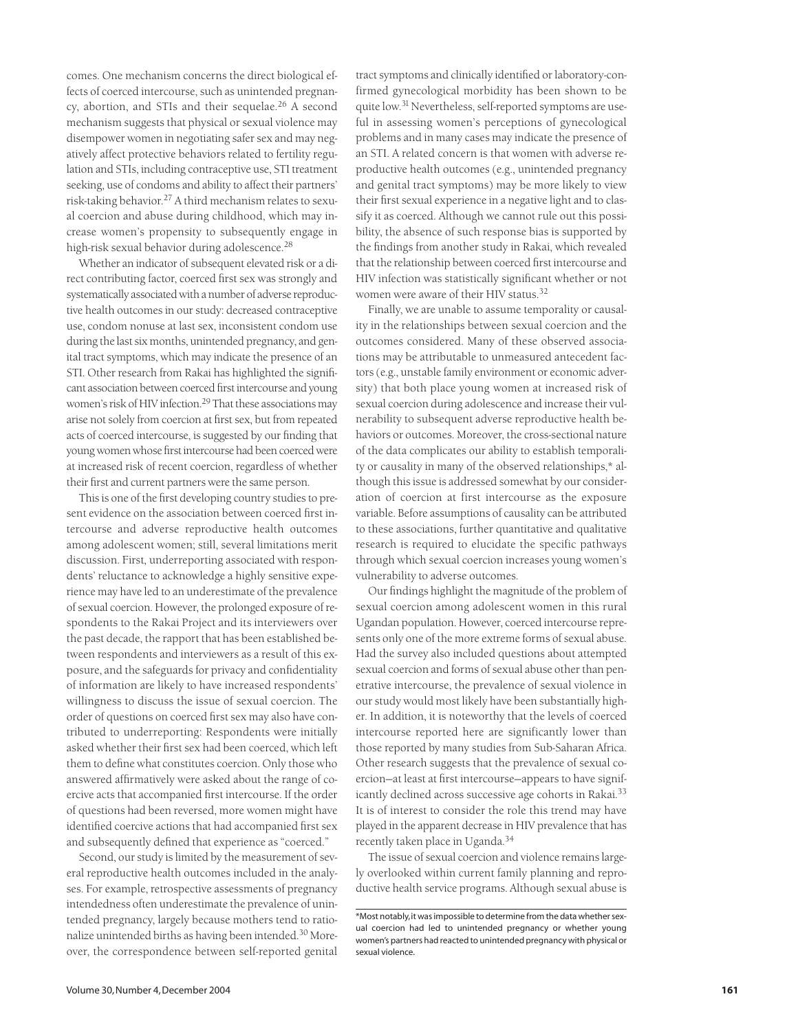comes. One mechanism concerns the direct biological effects of coerced intercourse, such as unintended pregnancy, abortion, and STIs and their sequelae.<sup>26</sup> A second mechanism suggests that physical or sexual violence may disempower women in negotiating safer sex and may negatively affect protective behaviors related to fertility regulation and STIs, including contraceptive use, STI treatment seeking, use of condoms and ability to affect their partners' risk-taking behavior.27 A third mechanism relates to sexual coercion and abuse during childhood, which may increase women's propensity to subsequently engage in high-risk sexual behavior during adolescence.<sup>28</sup>

Whether an indicator of subsequent elevated risk or a direct contributing factor, coerced first sex was strongly and systematically associated with a number of adverse reproductive health outcomes in our study: decreased contraceptive use, condom nonuse at last sex, inconsistent condom use during the last six months, unintended pregnancy, and genital tract symptoms, which may indicate the presence of an STI. Other research from Rakai has highlighted the significant association between coerced first intercourse and young women's risk of HIV infection.<sup>29</sup> That these associations may arise not solely from coercion at first sex, but from repeated acts of coerced intercourse, is suggested by our finding that young women whose first intercourse had been coerced were at increased risk of recent coercion, regardless of whether their first and current partners were the same person.

This is one of the first developing country studies to present evidence on the association between coerced first intercourse and adverse reproductive health outcomes among adolescent women; still, several limitations merit discussion. First, underreporting associated with respondents' reluctance to acknowledge a highly sensitive experience may have led to an underestimate of the prevalence of sexual coercion. However, the prolonged exposure of respondents to the Rakai Project and its interviewers over the past decade, the rapport that has been established between respondents and interviewers as a result of this exposure, and the safeguards for privacy and confidentiality of information are likely to have increased respondents' willingness to discuss the issue of sexual coercion. The order of questions on coerced first sex may also have contributed to underreporting: Respondents were initially asked whether their first sex had been coerced, which left them to define what constitutes coercion. Only those who answered affirmatively were asked about the range of coercive acts that accompanied first intercourse. If the order of questions had been reversed, more women might have identified coercive actions that had accompanied first sex and subsequently defined that experience as "coerced."

Second, our study is limited by the measurement of several reproductive health outcomes included in the analyses. For example, retrospective assessments of pregnancy intendedness often underestimate the prevalence of unintended pregnancy, largely because mothers tend to rationalize unintended births as having been intended.30 Moreover, the correspondence between self-reported genital

tract symptoms and clinically identified or laboratory-confirmed gynecological morbidity has been shown to be quite low.31 Nevertheless, self-reported symptoms are useful in assessing women's perceptions of gynecological problems and in many cases may indicate the presence of an STI. A related concern is that women with adverse reproductive health outcomes (e.g., unintended pregnancy and genital tract symptoms) may be more likely to view their first sexual experience in a negative light and to classify it as coerced. Although we cannot rule out this possibility, the absence of such response bias is supported by the findings from another study in Rakai, which revealed that the relationship between coerced first intercourse and HIV infection was statistically significant whether or not women were aware of their HIV status.32

Finally, we are unable to assume temporality or causality in the relationships between sexual coercion and the outcomes considered. Many of these observed associations may be attributable to unmeasured antecedent factors (e.g., unstable family environment or economic adversity) that both place young women at increased risk of sexual coercion during adolescence and increase their vulnerability to subsequent adverse reproductive health behaviors or outcomes. Moreover, the cross-sectional nature of the data complicates our ability to establish temporality or causality in many of the observed relationships,\* although this issue is addressed somewhat by our consideration of coercion at first intercourse as the exposure variable. Before assumptions of causality can be attributed to these associations, further quantitative and qualitative research is required to elucidate the specific pathways through which sexual coercion increases young women's vulnerability to adverse outcomes.

Our findings highlight the magnitude of the problem of sexual coercion among adolescent women in this rural Ugandan population. However, coerced intercourse represents only one of the more extreme forms of sexual abuse. Had the survey also included questions about attempted sexual coercion and forms of sexual abuse other than penetrative intercourse, the prevalence of sexual violence in our study would most likely have been substantially higher. In addition, it is noteworthy that the levels of coerced intercourse reported here are significantly lower than those reported by many studies from Sub-Saharan Africa. Other research suggests that the prevalence of sexual coercion—at least at first intercourse—appears to have significantly declined across successive age cohorts in Rakai.<sup>33</sup> It is of interest to consider the role this trend may have played in the apparent decrease in HIV prevalence that has recently taken place in Uganda.34

The issue of sexual coercion and violence remains largely overlooked within current family planning and reproductive health service programs. Although sexual abuse is

<sup>\*</sup>Most notably,it was impossible to determine from the data whether sexual coercion had led to unintended pregnancy or whether young women's partners had reacted to unintended pregnancy with physical or sexual violence.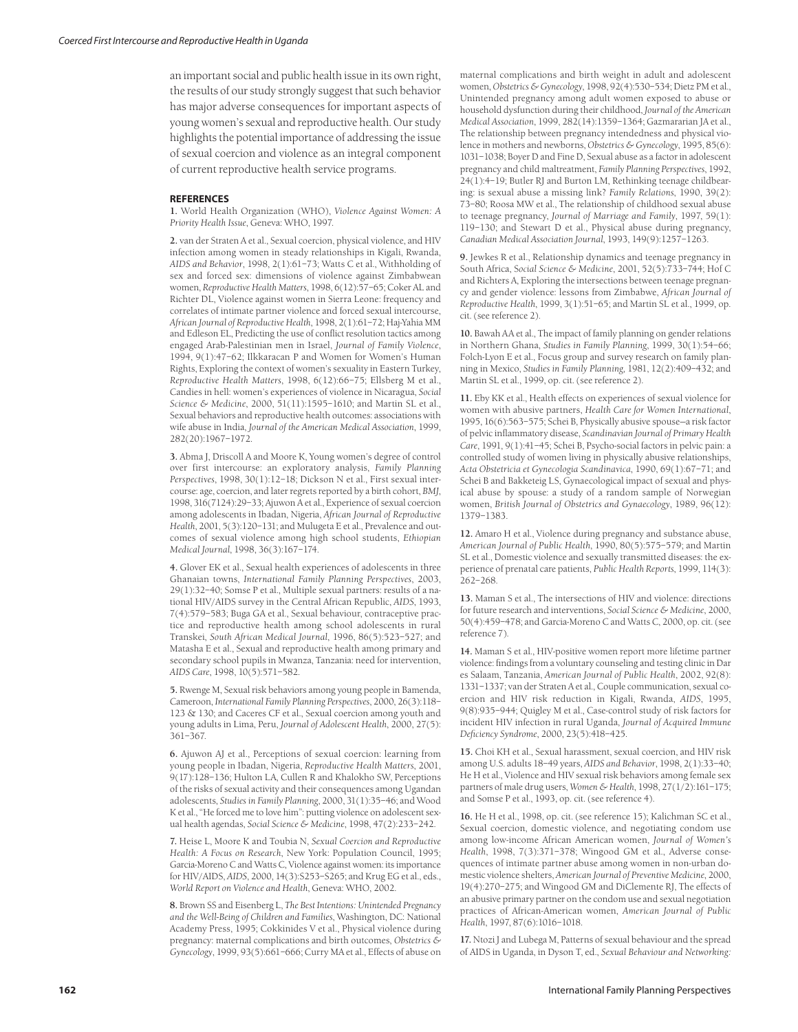an important social and public health issue in its own right, the results of our study strongly suggest that such behavior has major adverse consequences for important aspects of young women's sexual and reproductive health. Our study highlights the potential importance of addressing the issue of sexual coercion and violence as an integral component of current reproductive health service programs.

#### **REFERENCES**

**1.** World Health Organization (WHO), *Violence Against Women: A Priority Health Issue*, Geneva: WHO, 1997.

**2.** van der Straten A et al., Sexual coercion, physical violence, and HIV infection among women in steady relationships in Kigali, Rwanda, *AIDS and Behavior*, 1998, 2(1):61–73; Watts C et al., Withholding of sex and forced sex: dimensions of violence against Zimbabwean women, *Reproductive Health Matters*, 1998, 6(12):57–65; Coker AL and Richter DL, Violence against women in Sierra Leone: frequency and correlates of intimate partner violence and forced sexual intercourse, *African Journal of Reproductive Health*, 1998, 2(1):61–72; Haj-Yahia MM and Edleson EL, Predicting the use of conflict resolution tactics among engaged Arab-Palestinian men in Israel, *Journal of Family Violence*, 1994, 9(1):47–62; Ilkkaracan P and Women for Women's Human Rights, Exploring the context of women's sexuality in Eastern Turkey, *Reproductive Health Matters*, 1998, 6(12):66–75; Ellsberg M et al., Candies in hell: women's experiences of violence in Nicaragua, *Social Science & Medicine*, 2000, 51(11):1595–1610; and Martin SL et al., Sexual behaviors and reproductive health outcomes: associations with wife abuse in India, *Journal of the American Medical Association*, 1999, 282(20):1967–1972.

**3.** Abma J, Driscoll A and Moore K, Young women's degree of control over first intercourse: an exploratory analysis, *Family Planning Perspectives*, 1998, 30(1):12–18; Dickson N et al., First sexual intercourse: age, coercion, and later regrets reported by a birth cohort, *BMJ*, 1998, 316(7124):29–33; Ajuwon A et al., Experience of sexual coercion among adolescents in Ibadan, Nigeria, *African Journal of Reproductive Health*, 2001, 5(3):120–131; and Mulugeta E et al., Prevalence and outcomes of sexual violence among high school students, *Ethiopian Medical Journal*, 1998, 36(3):167–174.

**4.** Glover EK et al., Sexual health experiences of adolescents in three Ghanaian towns, *International Family Planning Perspectives*, 2003, 29(1):32–40; Somse P et al., Multiple sexual partners: results of a national HIV/AIDS survey in the Central African Republic, *AIDS*, 1993, 7(4):579–583; Buga GA et al., Sexual behaviour, contraceptive practice and reproductive health among school adolescents in rural Transkei, *South African Medical Journal*, 1996, 86(5):523–527; and Matasha E et al., Sexual and reproductive health among primary and secondary school pupils in Mwanza, Tanzania: need for intervention, *AIDS Care*, 1998, 10(5):571–582.

**5.** Rwenge M, Sexual risk behaviors among young people in Bamenda, Cameroon, *International Family Planning Perspectives*, 2000, 26(3):118– 123 & 130; and Caceres CF et al., Sexual coercion among youth and young adults in Lima, Peru, *Journal of Adolescent Health*, 2000, 27(5): 361–367.

**6.** Ajuwon AJ et al., Perceptions of sexual coercion: learning from young people in Ibadan, Nigeria, *Reproductive Health Matters*, 2001, 9(17):128–136; Hulton LA, Cullen R and Khalokho SW, Perceptions of the risks of sexual activity and their consequences among Ugandan adolescents, *Studies in Family Planning*, 2000, 31(1):35–46; and Wood K et al., "He forced me to love him": putting violence on adolescent sexual health agendas, *Social Science & Medicine*, 1998, 47(2):233–242.

**7.** Heise L, Moore K and Toubia N, *Sexual Coercion and Reproductive Health: A Focus on Research*, New York: Population Council, 1995; Garcia-Moreno C and Watts C, Violence against women: its importance for HIV/AIDS, *AIDS*, 2000, 14(3):S253–S265; and Krug EG et al., eds., *World Report on Violence and Health*, Geneva: WHO, 2002.

**8.** Brown SS and Eisenberg L, *The Best Intentions: Unintended Pregnancy and the Well-Being of Children and Families*, Washington, DC: National Academy Press, 1995; Cokkinides V et al., Physical violence during pregnancy: maternal complications and birth outcomes, *Obstetrics & Gynecology*, 1999, 93(5):661–666; Curry MA et al., Effects of abuse on

maternal complications and birth weight in adult and adolescent women, *Obstetrics & Gynecology*, 1998, 92(4):530–534; Dietz PM et al., Unintended pregnancy among adult women exposed to abuse or household dysfunction during their childhood, *Journal of the American Medical Association*, 1999, 282(14):1359–1364; Gazmararian JA et al., The relationship between pregnancy intendedness and physical violence in mothers and newborns, *Obstetrics & Gynecology*, 1995, 85(6): 1031–1038; Boyer D and Fine D, Sexual abuse as a factor in adolescent pregnancy and child maltreatment, *Family Planning Perspectives*, 1992, 24(1):4–19; Butler RJ and Burton LM, Rethinking teenage childbearing: is sexual abuse a missing link? *Family Relations*, 1990, 39(2): 73–80; Roosa MW et al., The relationship of childhood sexual abuse to teenage pregnancy, *Journal of Marriage and Family*, 1997, 59(1): 119–130; and Stewart D et al., Physical abuse during pregnancy, *Canadian Medical Association Journal*, 1993, 149(9):1257–1263.

**9.** Jewkes R et al., Relationship dynamics and teenage pregnancy in South Africa, S*ocial Science & Medicine*, 2001, 52(5):733–744; Hof C and Richters A, Exploring the intersections between teenage pregnancy and gender violence: lessons from Zimbabwe, *African Journal of Reproductive Health*, 1999, 3(1):51–65; and Martin SL et al., 1999, op. cit. (see reference 2).

**10.** Bawah AA et al., The impact of family planning on gender relations in Northern Ghana, *Studies in Family Planning*, 1999, 30(1):54–66; Folch-Lyon E et al., Focus group and survey research on family planning in Mexico, *Studies in Family Planning*, 1981, 12(2):409–432; and Martin SL et al., 1999, op. cit. (see reference 2).

**11.** Eby KK et al., Health effects on experiences of sexual violence for women with abusive partners, *Health Care for Women International*, 1995, 16(6):563–575; Schei B, Physically abusive spouse—a risk factor of pelvic inflammatory disease, *Scandinavian Journal of Primary Health Care*, 1991, 9(1):41–45; Schei B, Psycho-social factors in pelvic pain: a controlled study of women living in physically abusive relationships, *Acta Obstetricia et Gynecologia Scandinavica*, 1990, 69(1):67–71; and Schei B and Bakketeig LS, Gynaecological impact of sexual and physical abuse by spouse: a study of a random sample of Norwegian women, *British Journal of Obstetrics and Gynaecology*, 1989, 96(12): 1379–1383.

**12.** Amaro H et al., Violence during pregnancy and substance abuse, *American Journal of Public Health*, 1990, 80(5):575–579; and Martin SL et al., Domestic violence and sexually transmitted diseases: the experience of prenatal care patients, *Public Health Reports*, 1999, 114(3): 262–268.

**13.** Maman S et al., The intersections of HIV and violence: directions for future research and interventions, *Social Science & Medicine*, 2000, 50(4):459–478; and Garcia-Moreno C and Watts C, 2000, op. cit. (see reference 7).

**14.** Maman S et al., HIV-positive women report more lifetime partner violence: findings from a voluntary counseling and testing clinic in Dar es Salaam, Tanzania, *American Journal of Public Health*, 2002, 92(8): 1331–1337; van der Straten A et al., Couple communication, sexual coercion and HIV risk reduction in Kigali, Rwanda, *AIDS*, 1995, 9(8):935–944; Quigley M et al., Case-control study of risk factors for incident HIV infection in rural Uganda, *Journal of Acquired Immune Deficiency Syndrome*, 2000, 23(5):418–425.

**15.** Choi KH et al., Sexual harassment, sexual coercion, and HIV risk among U.S. adults 18–49 years, *AIDS and Behavior*, 1998, 2(1):33–40; He H et al., Violence and HIV sexual risk behaviors among female sex partners of male drug users, *Women & Health*, 1998, 27(1/2):161–175; and Somse P et al., 1993, op. cit. (see reference 4).

**16.** He H et al., 1998, op. cit. (see reference 15); Kalichman SC et al., Sexual coercion, domestic violence, and negotiating condom use among low-income African American women, *Journal of Women's Health*, 1998, 7(3):371–378; Wingood GM et al., Adverse consequences of intimate partner abuse among women in non-urban domestic violence shelters, *American Journal of Preventive Medicine*, 2000, 19(4):270–275; and Wingood GM and DiClemente RJ, The effects of an abusive primary partner on the condom use and sexual negotiation practices of African-American women, *American Journal of Public Health*, 1997, 87(6):1016–1018.

**17.** Ntozi J and Lubega M, Patterns of sexual behaviour and the spread of AIDS in Uganda, in Dyson T, ed., *Sexual Behaviour and Networking:*